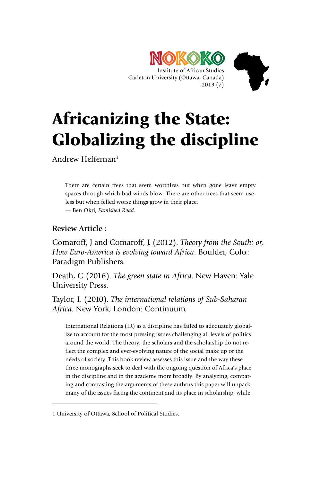



Andrew Heffernan<sup>1</sup>

There are certain trees that seem worthless but when gone leave empty spaces through which bad winds blow. There are other trees that seem useless but when felled worse things grow in their place. — Ben Okri, *Famished Road.*

# **Review Article :**

-

Comaroff, J and Comaroff, J. (2012). *Theory from the South: or, How Euro-America is evolving toward Africa*. Boulder, Colo.: Paradigm Publishers.

Death, C. (2016). *The green state in Africa*. New Haven: Yale University Press.

Taylor, I. (2010). *The international relations of Sub-Saharan Africa*. New York; London: Continuum.

International Relations (IR) as a discipline has failed to adequately globalize to account for the most pressing issues challenging all levels of politics around the world. The theory, the scholars and the scholarship do not reflect the complex and ever-evolving nature of the social make up or the needs of society. This book review assesses this issue and the way these three monographs seek to deal with the ongoing question of Africa's place in the discipline and in the academe more broadly. By analyzing, comparing and contrasting the arguments of these authors this paper will unpack many of the issues facing the continent and its place in scholarship, while

<sup>1</sup> University of Ottawa, School of Political Studies.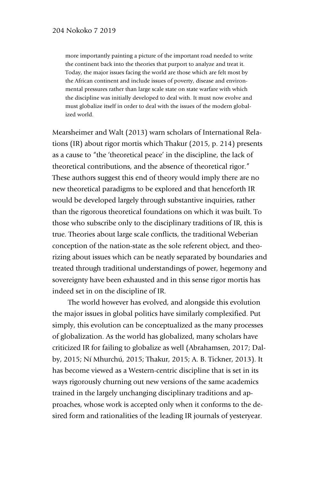more importantly painting a picture of the important road needed to write the continent back into the theories that purport to analyze and treat it. Today, the major issues facing the world are those which are felt most by the African continent and include issues of poverty, disease and environmental pressures rather than large scale state on state warfare with which the discipline was initially developed to deal with. It must now evolve and must globalize itself in order to deal with the issues of the modern globalized world.

Mearsheimer and Walt (2013) warn scholars of International Relations (IR) about rigor mortis which Thakur (2015, p. 214) presents as a cause to "the 'theoretical peace' in the discipline, the lack of theoretical contributions, and the absence of theoretical rigor." These authors suggest this end of theory would imply there are no new theoretical paradigms to be explored and that henceforth IR would be developed largely through substantive inquiries, rather than the rigorous theoretical foundations on which it was built. To those who subscribe only to the disciplinary traditions of IR, this is true. Theories about large scale conflicts, the traditional Weberian conception of the nation-state as the sole referent object, and theorizing about issues which can be neatly separated by boundaries and treated through traditional understandings of power, hegemony and sovereignty have been exhausted and in this sense rigor mortis has indeed set in on the discipline of IR.

The world however has evolved, and alongside this evolution the major issues in global politics have similarly complexified. Put simply, this evolution can be conceptualized as the many processes of globalization. As the world has globalized, many scholars have criticized IR for failing to globalize as well (Abrahamsen, 2017; Dalby, 2015; Ní Mhurchú, 2015; Thakur, 2015; A. B. Tickner, 2013). It has become viewed as a Western-centric discipline that is set in its ways rigorously churning out new versions of the same academics trained in the largely unchanging disciplinary traditions and approaches, whose work is accepted only when it conforms to the desired form and rationalities of the leading IR journals of yesteryear.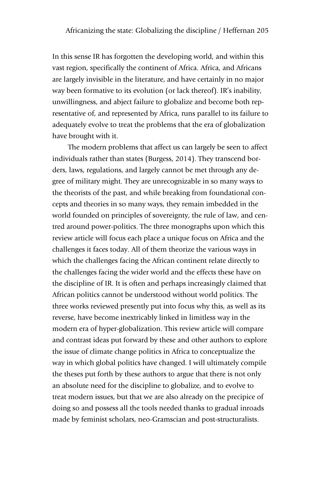In this sense IR has forgotten the developing world, and within this vast region, specifically the continent of Africa. Africa, and Africans are largely invisible in the literature, and have certainly in no major way been formative to its evolution (or lack thereof). IR's inability, unwillingness, and abject failure to globalize and become both representative of, and represented by Africa, runs parallel to its failure to adequately evolve to treat the problems that the era of globalization have brought with it.

The modern problems that affect us can largely be seen to affect individuals rather than states (Burgess, 2014). They transcend borders, laws, regulations, and largely cannot be met through any degree of military might. They are unrecognizable in so many ways to the theorists of the past, and while breaking from foundational concepts and theories in so many ways, they remain imbedded in the world founded on principles of sovereignty, the rule of law, and centred around power-politics. The three monographs upon which this review article will focus each place a unique focus on Africa and the challenges it faces today. All of them theorize the various ways in which the challenges facing the African continent relate directly to the challenges facing the wider world and the effects these have on the discipline of IR. It is often and perhaps increasingly claimed that African politics cannot be understood without world politics. The three works reviewed presently put into focus why this, as well as its reverse, have become inextricably linked in limitless way in the modern era of hyper-globalization. This review article will compare and contrast ideas put forward by these and other authors to explore the issue of climate change politics in Africa to conceptualize the way in which global politics have changed. I will ultimately compile the theses put forth by these authors to argue that there is not only an absolute need for the discipline to globalize, and to evolve to treat modern issues, but that we are also already on the precipice of doing so and possess all the tools needed thanks to gradual inroads made by feminist scholars, neo-Gramscian and post-structuralists.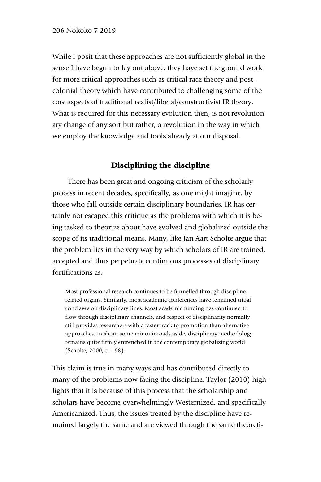While I posit that these approaches are not sufficiently global in the sense I have begun to lay out above, they have set the ground work for more critical approaches such as critical race theory and postcolonial theory which have contributed to challenging some of the core aspects of traditional realist/liberal/constructivist IR theory. What is required for this necessary evolution then, is not revolutionary change of any sort but rather, a revolution in the way in which we employ the knowledge and tools already at our disposal.

# Disciplining the discipline

There has been great and ongoing criticism of the scholarly process in recent decades, specifically, as one might imagine, by those who fall outside certain disciplinary boundaries. IR has certainly not escaped this critique as the problems with which it is being tasked to theorize about have evolved and globalized outside the scope of its traditional means. Many, like Jan Aart Scholte argue that the problem lies in the very way by which scholars of IR are trained, accepted and thus perpetuate continuous processes of disciplinary fortifications as,

Most professional research continues to be funnelled through disciplinerelated organs. Similarly, most academic conferences have remained tribal conclaves on disciplinary lines. Most academic funding has continued to flow through disciplinary channels, and respect of disciplinarity normally still provides researchers with a faster track to promotion than alternative approaches. In short, some minor inroads aside, disciplinary methodology remains quite firmly entrenched in the contemporary globalizing world (Scholte, 2000, p. 198).

This claim is true in many ways and has contributed directly to many of the problems now facing the discipline. Taylor (2010) highlights that it is because of this process that the scholarship and scholars have become overwhelmingly Westernized, and specifically Americanized. Thus, the issues treated by the discipline have remained largely the same and are viewed through the same theoreti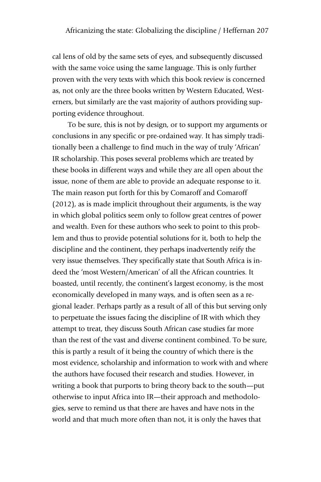cal lens of old by the same sets of eyes, and subsequently discussed with the same voice using the same language. This is only further proven with the very texts with which this book review is concerned as, not only are the three books written by Western Educated, Westerners, but similarly are the vast majority of authors providing supporting evidence throughout.

To be sure, this is not by design, or to support my arguments or conclusions in any specific or pre-ordained way. It has simply traditionally been a challenge to find much in the way of truly 'African' IR scholarship. This poses several problems which are treated by these books in different ways and while they are all open about the issue, none of them are able to provide an adequate response to it. The main reason put forth for this by Comaroff and Comaroff (2012), as is made implicit throughout their arguments, is the way in which global politics seem only to follow great centres of power and wealth. Even for these authors who seek to point to this problem and thus to provide potential solutions for it, both to help the discipline and the continent, they perhaps inadvertently reify the very issue themselves. They specifically state that South Africa is indeed the 'most Western/American' of all the African countries. It boasted, until recently, the continent's largest economy, is the most economically developed in many ways, and is often seen as a regional leader. Perhaps partly as a result of all of this but serving only to perpetuate the issues facing the discipline of IR with which they attempt to treat, they discuss South African case studies far more than the rest of the vast and diverse continent combined. To be sure, this is partly a result of it being the country of which there is the most evidence, scholarship and information to work with and where the authors have focused their research and studies. However, in writing a book that purports to bring theory back to the south—put otherwise to input Africa into IR—their approach and methodologies, serve to remind us that there are haves and have nots in the world and that much more often than not, it is only the haves that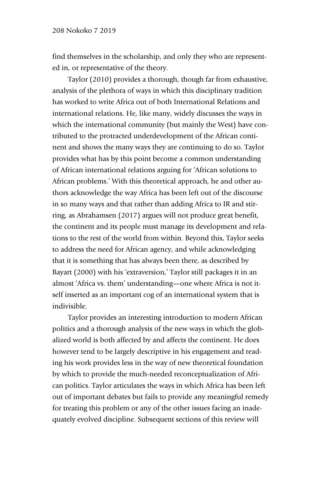find themselves in the scholarship, and only they who are represented in, or representative of the theory.

Taylor (2010) provides a thorough, though far from exhaustive, analysis of the plethora of ways in which this disciplinary tradition has worked to write Africa out of both International Relations and international relations. He, like many, widely discusses the ways in which the international community (but mainly the West) have contributed to the protracted underdevelopment of the African continent and shows the many ways they are continuing to do so. Taylor provides what has by this point become a common understanding of African international relations arguing for 'African solutions to African problems.' With this theoretical approach, he and other authors acknowledge the way Africa has been left out of the discourse in so many ways and that rather than adding Africa to IR and stirring, as Abrahamsen (2017) argues will not produce great benefit, the continent and its people must manage its development and relations to the rest of the world from within. Beyond this, Taylor seeks to address the need for African agency, and while acknowledging that it is something that has always been there, as described by Bayart (2000) with his 'extraversion,' Taylor still packages it in an almost 'Africa vs. them' understanding—one where Africa is not itself inserted as an important cog of an international system that is indivisible.

Taylor provides an interesting introduction to modern African politics and a thorough analysis of the new ways in which the globalized world is both affected by and affects the continent. He does however tend to be largely descriptive in his engagement and reading his work provides less in the way of new theoretical foundation by which to provide the much-needed reconceptualization of African politics. Taylor articulates the ways in which Africa has been left out of important debates but fails to provide any meaningful remedy for treating this problem or any of the other issues facing an inadequately evolved discipline. Subsequent sections of this review will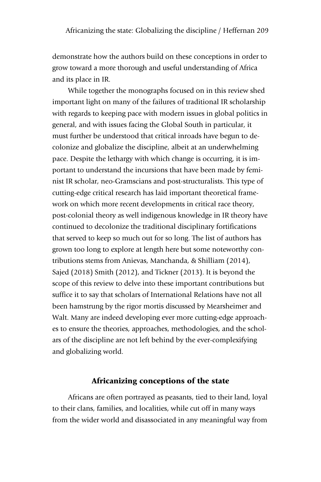demonstrate how the authors build on these conceptions in order to grow toward a more thorough and useful understanding of Africa and its place in IR.

While together the monographs focused on in this review shed important light on many of the failures of traditional IR scholarship with regards to keeping pace with modern issues in global politics in general, and with issues facing the Global South in particular, it must further be understood that critical inroads have begun to decolonize and globalize the discipline, albeit at an underwhelming pace. Despite the lethargy with which change is occurring, it is important to understand the incursions that have been made by feminist IR scholar, neo-Gramscians and post-structuralists. This type of cutting-edge critical research has laid important theoretical framework on which more recent developments in critical race theory, post-colonial theory as well indigenous knowledge in IR theory have continued to decolonize the traditional disciplinary fortifications that served to keep so much out for so long. The list of authors has grown too long to explore at length here but some noteworthy contributions stems from Anievas, Manchanda, & Shilliam (2014), Sajed (2018) Smith (2012), and Tickner (2013). It is beyond the scope of this review to delve into these important contributions but suffice it to say that scholars of International Relations have not all been hamstrung by the rigor mortis discussed by Mearsheimer and Walt. Many are indeed developing ever more cutting-edge approaches to ensure the theories, approaches, methodologies, and the scholars of the discipline are not left behind by the ever-complexifying and globalizing world.

### Africanizing conceptions of the state

Africans are often portrayed as peasants, tied to their land, loyal to their clans, families, and localities, while cut off in many ways from the wider world and disassociated in any meaningful way from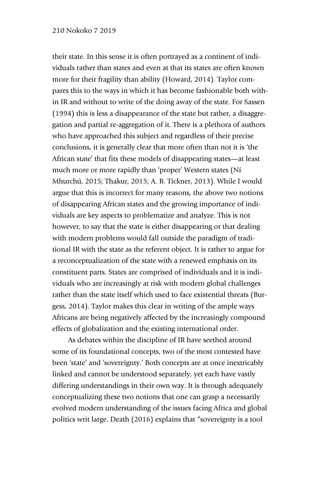their state. In this sense it is often portrayed as a continent of individuals rather than states and even at that its states are often known more for their fragility than ability (Howard, 2014). Taylor compares this to the ways in which it has become fashionable both within IR and without to write of the doing away of the state. For Sassen (1994) this is less a disappearance of the state but rather, a disaggregation and partial re-aggregation of it. There is a plethora of authors who have approached this subject and regardless of their precise conclusions, it is generally clear that more often than not it is 'the African state' that fits these models of disappearing states—at least much more or more rapidly than 'proper' Western states (Ní Mhurchú, 2015; Thakur, 2015; A. B. Tickner, 2013). While I would argue that this is incorrect for many reasons, the above two notions of disappearing African states and the growing importance of individuals are key aspects to problematize and analyze. This is not however, to say that the state is either disappearing or that dealing with modern problems would fall outside the paradigm of traditional IR with the state as the referent object. It is rather to argue for a reconceptualization of the state with a renewed emphasis on its constituent parts. States are comprised of individuals and it is individuals who are increasingly at risk with modern global challenges rather than the state itself which used to face existential threats (Burgess, 2014). Taylor makes this clear in writing of the ample ways Africans are being negatively affected by the increasingly compound effects of globalization and the existing international order.

As debates within the discipline of IR have seethed around some of its foundational concepts, two of the most contested have been 'state' and 'sovereignty.' Both concepts are at once inextricably linked and cannot be understood separately, yet each have vastly differing understandings in their own way. It is through adequately conceptualizing these two notions that one can grasp a necessarily evolved modern understanding of the issues facing Africa and global politics writ large. Death (2016) explains that "sovereignty is a tool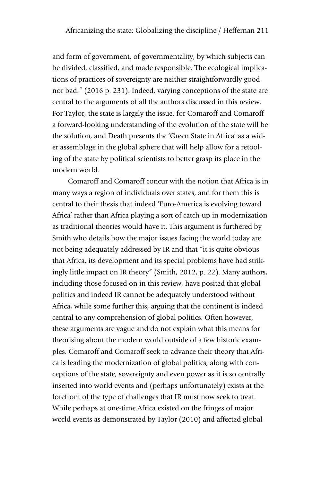and form of government, of governmentality, by which subjects can be divided, classified, and made responsible. The ecological implications of practices of sovereignty are neither straightforwardly good nor bad." (2016 p. 231). Indeed, varying conceptions of the state are central to the arguments of all the authors discussed in this review. For Taylor, the state is largely the issue, for Comaroff and Comaroff a forward-looking understanding of the evolution of the state will be the solution, and Death presents the 'Green State in Africa' as a wider assemblage in the global sphere that will help allow for a retooling of the state by political scientists to better grasp its place in the modern world.

Comaroff and Comaroff concur with the notion that Africa is in many ways a region of individuals over states, and for them this is central to their thesis that indeed 'Euro-America is evolving toward Africa' rather than Africa playing a sort of catch-up in modernization as traditional theories would have it. This argument is furthered by Smith who details how the major issues facing the world today are not being adequately addressed by IR and that "it is quite obvious that Africa, its development and its special problems have had strikingly little impact on IR theory" (Smith, 2012, p. 22). Many authors, including those focused on in this review, have posited that global politics and indeed IR cannot be adequately understood without Africa, while some further this, arguing that the continent is indeed central to any comprehension of global politics. Often however, these arguments are vague and do not explain what this means for theorising about the modern world outside of a few historic examples. Comaroff and Comaroff seek to advance their theory that Africa is leading the modernization of global politics, along with conceptions of the state, sovereignty and even power as it is so centrally inserted into world events and (perhaps unfortunately) exists at the forefront of the type of challenges that IR must now seek to treat. While perhaps at one-time Africa existed on the fringes of major world events as demonstrated by Taylor (2010) and affected global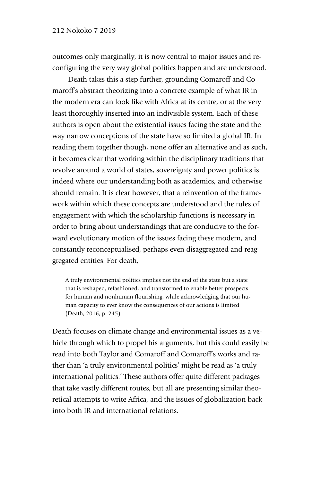outcomes only marginally, it is now central to major issues and reconfiguring the very way global politics happen and are understood.

Death takes this a step further, grounding Comaroff and Comaroff's abstract theorizing into a concrete example of what IR in the modern era can look like with Africa at its centre, or at the very least thoroughly inserted into an indivisible system. Each of these authors is open about the existential issues facing the state and the way narrow conceptions of the state have so limited a global IR. In reading them together though, none offer an alternative and as such, it becomes clear that working within the disciplinary traditions that revolve around a world of states, sovereignty and power politics is indeed where our understanding both as academics, and otherwise should remain. It is clear however, that a reinvention of the framework within which these concepts are understood and the rules of engagement with which the scholarship functions is necessary in order to bring about understandings that are conducive to the forward evolutionary motion of the issues facing these modern, and constantly reconceptualised, perhaps even disaggregated and reaggregated entities. For death,

A truly environmental politics implies not the end of the state but a state that is reshaped, refashioned, and transformed to enable better prospects for human and nonhuman flourishing, while acknowledging that our human capacity to ever know the consequences of our actions is limited (Death, 2016, p. 245).

Death focuses on climate change and environmental issues as a vehicle through which to propel his arguments, but this could easily be read into both Taylor and Comaroff and Comaroff's works and rather than 'a truly environmental politics' might be read as 'a truly international politics.' These authors offer quite different packages that take vastly different routes, but all are presenting similar theoretical attempts to write Africa, and the issues of globalization back into both IR and international relations.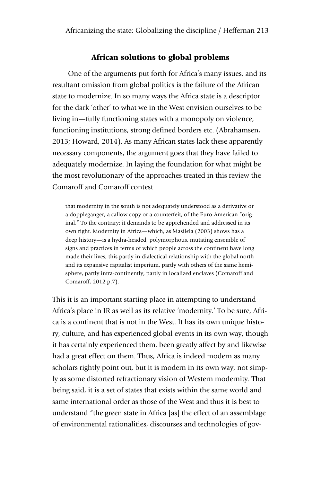#### African solutions to global problems

One of the arguments put forth for Africa's many issues, and its resultant omission from global politics is the failure of the African state to modernize. In so many ways the Africa state is a descriptor for the dark 'other' to what we in the West envision ourselves to be living in—fully functioning states with a monopoly on violence, functioning institutions, strong defined borders etc. (Abrahamsen, 2013; Howard, 2014). As many African states lack these apparently necessary components, the argument goes that they have failed to adequately modernize. In laying the foundation for what might be the most revolutionary of the approaches treated in this review the Comaroff and Comaroff contest

that modernity in the south is not adequately understood as a derivative or a doppleganger, a callow copy or a counterfeit, of the Euro-American "original." To the contrary: it demands to be apprehended and addressed in its own right. Modernity in Africa—which, as Masilela (2003) shows has a deep history—is a hydra-headed, polymorphous, mutating ensemble of signs and practices in terms of which people across the continent have long made their lives; this partly in dialectical relationship with the global north and its expansive capitalist imperium, partly with others of the same hemisphere, partly intra-continently, partly in localized enclaves (Comaroff and Comaroff, 2012 p.7).

This it is an important starting place in attempting to understand Africa's place in IR as well as its relative 'modernity.' To be sure, Africa is a continent that is not in the West. It has its own unique history, culture, and has experienced global events in its own way, though it has certainly experienced them, been greatly affect by and likewise had a great effect on them. Thus, Africa is indeed modern as many scholars rightly point out, but it is modern in its own way, not simply as some distorted refractionary vision of Western modernity. That being said, it is a set of states that exists within the same world and same international order as those of the West and thus it is best to understand "the green state in Africa [as] the effect of an assemblage of environmental rationalities, discourses and technologies of gov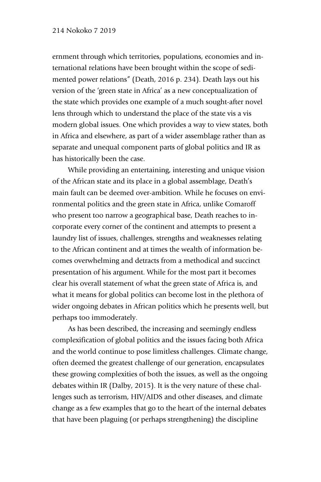ernment through which territories, populations, economies and international relations have been brought within the scope of sedimented power relations" (Death, 2016 p. 234). Death lays out his version of the 'green state in Africa' as a new conceptualization of the state which provides one example of a much sought-after novel lens through which to understand the place of the state vis a vis modern global issues. One which provides a way to view states, both in Africa and elsewhere, as part of a wider assemblage rather than as separate and unequal component parts of global politics and IR as has historically been the case.

While providing an entertaining, interesting and unique vision of the African state and its place in a global assemblage, Death's main fault can be deemed over-ambition. While he focuses on environmental politics and the green state in Africa, unlike Comaroff who present too narrow a geographical base, Death reaches to incorporate every corner of the continent and attempts to present a laundry list of issues, challenges, strengths and weaknesses relating to the African continent and at times the wealth of information becomes overwhelming and detracts from a methodical and succinct presentation of his argument. While for the most part it becomes clear his overall statement of what the green state of Africa is, and what it means for global politics can become lost in the plethora of wider ongoing debates in African politics which he presents well, but perhaps too immoderately.

As has been described, the increasing and seemingly endless complexification of global politics and the issues facing both Africa and the world continue to pose limitless challenges. Climate change, often deemed the greatest challenge of our generation, encapsulates these growing complexities of both the issues, as well as the ongoing debates within IR (Dalby, 2015). It is the very nature of these challenges such as terrorism, HIV/AIDS and other diseases, and climate change as a few examples that go to the heart of the internal debates that have been plaguing (or perhaps strengthening) the discipline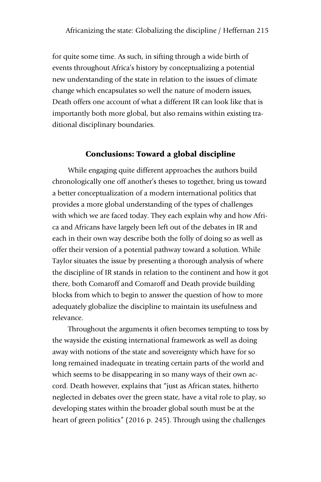for quite some time. As such, in sifting through a wide birth of events throughout Africa's history by conceptualizing a potential new understanding of the state in relation to the issues of climate change which encapsulates so well the nature of modern issues, Death offers one account of what a different IR can look like that is importantly both more global, but also remains within existing traditional disciplinary boundaries.

# Conclusions: Toward a global discipline

While engaging quite different approaches the authors build chronologically one off another's theses to together, bring us toward a better conceptualization of a modern international politics that provides a more global understanding of the types of challenges with which we are faced today. They each explain why and how Africa and Africans have largely been left out of the debates in IR and each in their own way describe both the folly of doing so as well as offer their version of a potential pathway toward a solution. While Taylor situates the issue by presenting a thorough analysis of where the discipline of IR stands in relation to the continent and how it got there, both Comaroff and Comaroff and Death provide building blocks from which to begin to answer the question of how to more adequately globalize the discipline to maintain its usefulness and relevance.

Throughout the arguments it often becomes tempting to toss by the wayside the existing international framework as well as doing away with notions of the state and sovereignty which have for so long remained inadequate in treating certain parts of the world and which seems to be disappearing in so many ways of their own accord. Death however, explains that "just as African states, hitherto neglected in debates over the green state, have a vital role to play, so developing states within the broader global south must be at the heart of green politics" (2016 p. 245). Through using the challenges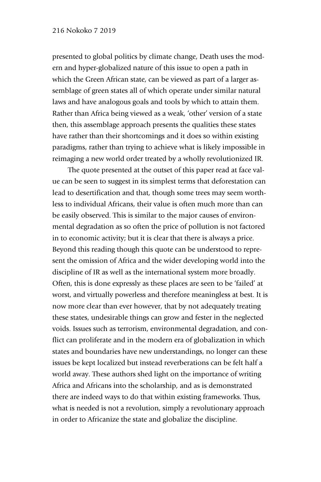presented to global politics by climate change, Death uses the modern and hyper-globalized nature of this issue to open a path in which the Green African state, can be viewed as part of a larger assemblage of green states all of which operate under similar natural laws and have analogous goals and tools by which to attain them. Rather than Africa being viewed as a weak, 'other' version of a state then, this assemblage approach presents the qualities these states have rather than their shortcomings and it does so within existing paradigms, rather than trying to achieve what is likely impossible in reimaging a new world order treated by a wholly revolutionized IR.

The quote presented at the outset of this paper read at face value can be seen to suggest in its simplest terms that deforestation can lead to desertification and that, though some trees may seem worthless to individual Africans, their value is often much more than can be easily observed. This is similar to the major causes of environmental degradation as so often the price of pollution is not factored in to economic activity; but it is clear that there is always a price. Beyond this reading though this quote can be understood to represent the omission of Africa and the wider developing world into the discipline of IR as well as the international system more broadly. Often, this is done expressly as these places are seen to be 'failed' at worst, and virtually powerless and therefore meaningless at best. It is now more clear than ever however, that by not adequately treating these states, undesirable things can grow and fester in the neglected voids. Issues such as terrorism, environmental degradation, and conflict can proliferate and in the modern era of globalization in which states and boundaries have new understandings, no longer can these issues be kept localized but instead reverberations can be felt half a world away. These authors shed light on the importance of writing Africa and Africans into the scholarship, and as is demonstrated there are indeed ways to do that within existing frameworks. Thus, what is needed is not a revolution, simply a revolutionary approach in order to Africanize the state and globalize the discipline.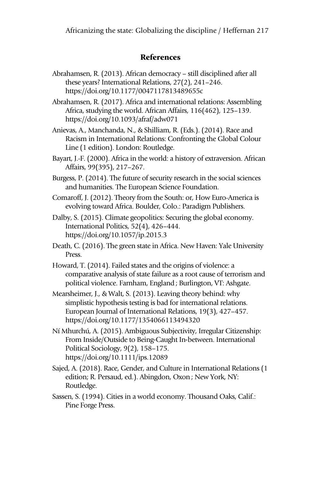# References

Abrahamsen, R. (2013). African democracy – still disciplined after all these years? International Relations, 27(2), 241–246. https://doi.org/10.1177/0047117813489655c

Abrahamsen, R. (2017). Africa and international relations: Assembling Africa, studying the world. African Affairs, 116(462), 125–139. https://doi.org/10.1093/afraf/adw071

Anievas, A., Manchanda, N., & Shilliam, R. (Eds.). (2014). Race and Racism in International Relations: Confronting the Global Colour Line (1 edition). London: Routledge.

Bayart, J.-F. (2000). Africa in the world: a history of extraversion. African Affairs, 99(395), 217–267.

Burgess, P. (2014). The future of security research in the social sciences and humanities. The European Science Foundation.

- Comaroff, J. (2012). Theory from the South: or, How Euro-America is evolving toward Africa. Boulder, Colo.: Paradigm Publishers.
- Dalby, S. (2015). Climate geopolitics: Securing the global economy. International Politics, 52(4), 426–444. https://doi.org/10.1057/ip.2015.3
- Death, C. (2016). The green state in Africa. New Haven: Yale University Press.

Howard, T. (2014). Failed states and the origins of violence: a comparative analysis of state failure as a root cause of terrorism and political violence. Farnham, England; Burlington, VT: Ashgate.

Mearsheimer, J., & Walt, S. (2013). Leaving theory behind: why simplistic hypothesis testing is bad for international relations. European Journal of International Relations, 19(3), 427–457. https://doi.org/10.1177/1354066113494320

- Ní Mhurchú, A. (2015). Ambiguous Subjectivity, Irregular Citizenship: From Inside/Outside to Being-Caught In-between. International Political Sociology, 9(2), 158–175. https://doi.org/10.1111/ips.12089
- Sajed, A. (2018). Race, Gender, and Culture in International Relations (1 edition; R. Persaud, ed.). Abingdon, Oxon; New York, NY: Routledge.
- Sassen, S. (1994). Cities in a world economy. Thousand Oaks, Calif.: Pine Forge Press.